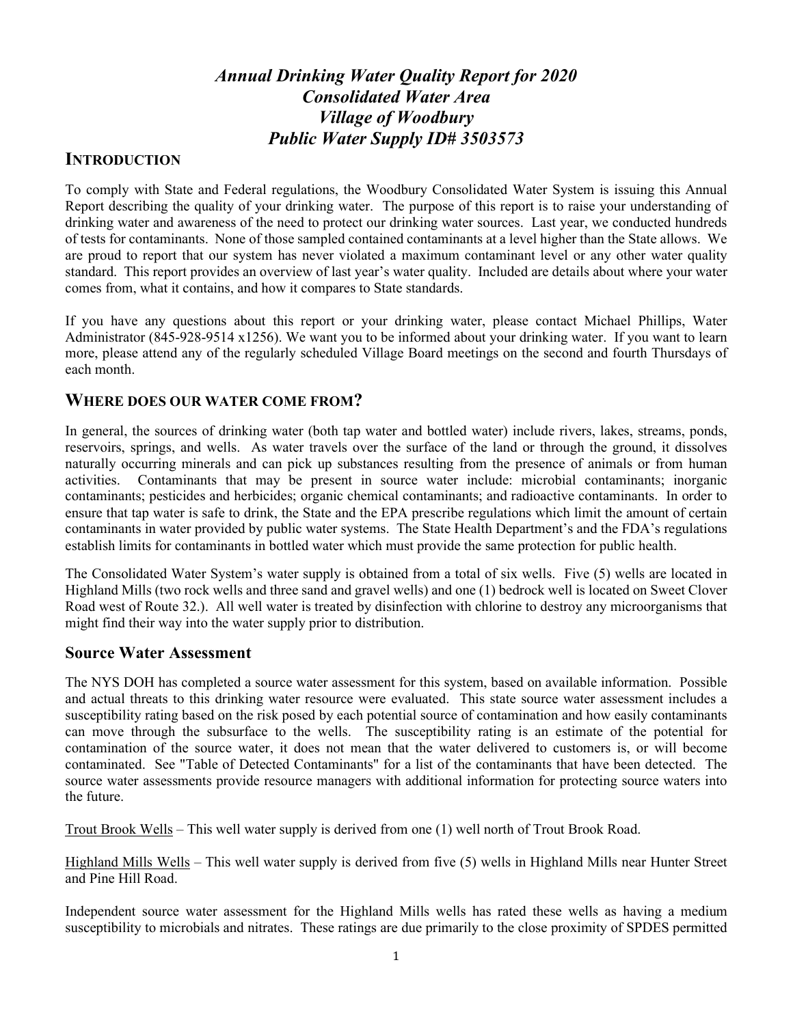# *Annual Drinking Water Quality Report for 2020 Consolidated Water Area Village of Woodbury Public Water Supply ID# 3503573*

## **INTRODUCTION**

To comply with State and Federal regulations, the Woodbury Consolidated Water System is issuing this Annual Report describing the quality of your drinking water. The purpose of this report is to raise your understanding of drinking water and awareness of the need to protect our drinking water sources. Last year, we conducted hundreds of tests for contaminants. None of those sampled contained contaminants at a level higher than the State allows. We are proud to report that our system has never violated a maximum contaminant level or any other water quality standard. This report provides an overview of last year's water quality. Included are details about where your water comes from, what it contains, and how it compares to State standards.

If you have any questions about this report or your drinking water, please contact Michael Phillips, Water Administrator (845-928-9514 x1256). We want you to be informed about your drinking water. If you want to learn more, please attend any of the regularly scheduled Village Board meetings on the second and fourth Thursdays of each month.

### **WHERE DOES OUR WATER COME FROM?**

In general, the sources of drinking water (both tap water and bottled water) include rivers, lakes, streams, ponds, reservoirs, springs, and wells. As water travels over the surface of the land or through the ground, it dissolves naturally occurring minerals and can pick up substances resulting from the presence of animals or from human activities. Contaminants that may be present in source water include: microbial contaminants; inorganic contaminants; pesticides and herbicides; organic chemical contaminants; and radioactive contaminants. In order to ensure that tap water is safe to drink, the State and the EPA prescribe regulations which limit the amount of certain contaminants in water provided by public water systems. The State Health Department's and the FDA's regulations establish limits for contaminants in bottled water which must provide the same protection for public health.

The Consolidated Water System's water supply is obtained from a total of six wells. Five (5) wells are located in Highland Mills (two rock wells and three sand and gravel wells) and one (1) bedrock well is located on Sweet Clover Road west of Route 32.). All well water is treated by disinfection with chlorine to destroy any microorganisms that might find their way into the water supply prior to distribution.

### **Source Water Assessment**

The NYS DOH has completed a source water assessment for this system, based on available information. Possible and actual threats to this drinking water resource were evaluated. This state source water assessment includes a susceptibility rating based on the risk posed by each potential source of contamination and how easily contaminants can move through the subsurface to the wells. The susceptibility rating is an estimate of the potential for contamination of the source water, it does not mean that the water delivered to customers is, or will become contaminated. See "Table of Detected Contaminants" for a list of the contaminants that have been detected. The source water assessments provide resource managers with additional information for protecting source waters into the future.

Trout Brook Wells – This well water supply is derived from one (1) well north of Trout Brook Road.

Highland Mills Wells – This well water supply is derived from five (5) wells in Highland Mills near Hunter Street and Pine Hill Road.

Independent source water assessment for the Highland Mills wells has rated these wells as having a medium susceptibility to microbials and nitrates. These ratings are due primarily to the close proximity of SPDES permitted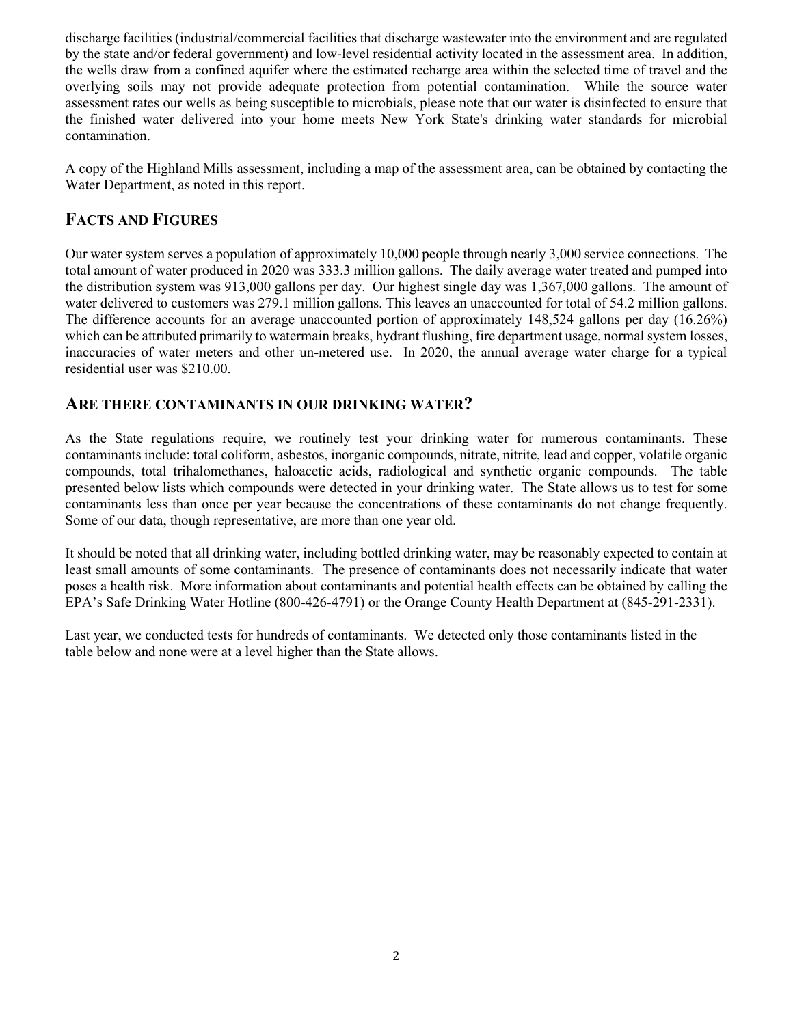discharge facilities (industrial/commercial facilities that discharge wastewater into the environment and are regulated by the state and/or federal government) and low-level residential activity located in the assessment area. In addition, the wells draw from a confined aquifer where the estimated recharge area within the selected time of travel and the overlying soils may not provide adequate protection from potential contamination. While the source water assessment rates our wells as being susceptible to microbials, please note that our water is disinfected to ensure that the finished water delivered into your home meets New York State's drinking water standards for microbial contamination.

A copy of the Highland Mills assessment, including a map of the assessment area, can be obtained by contacting the Water Department, as noted in this report.

## **FACTS AND FIGURES**

Our water system serves a population of approximately 10,000 people through nearly 3,000 service connections. The total amount of water produced in 2020 was 333.3 million gallons. The daily average water treated and pumped into the distribution system was 913,000 gallons per day. Our highest single day was 1,367,000 gallons. The amount of water delivered to customers was 279.1 million gallons. This leaves an unaccounted for total of 54.2 million gallons. The difference accounts for an average unaccounted portion of approximately 148,524 gallons per day (16.26%) which can be attributed primarily to watermain breaks, hydrant flushing, fire department usage, normal system losses, inaccuracies of water meters and other un-metered use. In 2020, the annual average water charge for a typical residential user was \$210.00.

### **ARE THERE CONTAMINANTS IN OUR DRINKING WATER?**

As the State regulations require, we routinely test your drinking water for numerous contaminants. These contaminants include: total coliform, asbestos, inorganic compounds, nitrate, nitrite, lead and copper, volatile organic compounds, total trihalomethanes, haloacetic acids, radiological and synthetic organic compounds. The table presented below lists which compounds were detected in your drinking water. The State allows us to test for some contaminants less than once per year because the concentrations of these contaminants do not change frequently. Some of our data, though representative, are more than one year old.

It should be noted that all drinking water, including bottled drinking water, may be reasonably expected to contain at least small amounts of some contaminants. The presence of contaminants does not necessarily indicate that water poses a health risk. More information about contaminants and potential health effects can be obtained by calling the EPA's Safe Drinking Water Hotline (800-426-4791) or the Orange County Health Department at (845-291-2331).

Last year, we conducted tests for hundreds of contaminants. We detected only those contaminants listed in the table below and none were at a level higher than the State allows.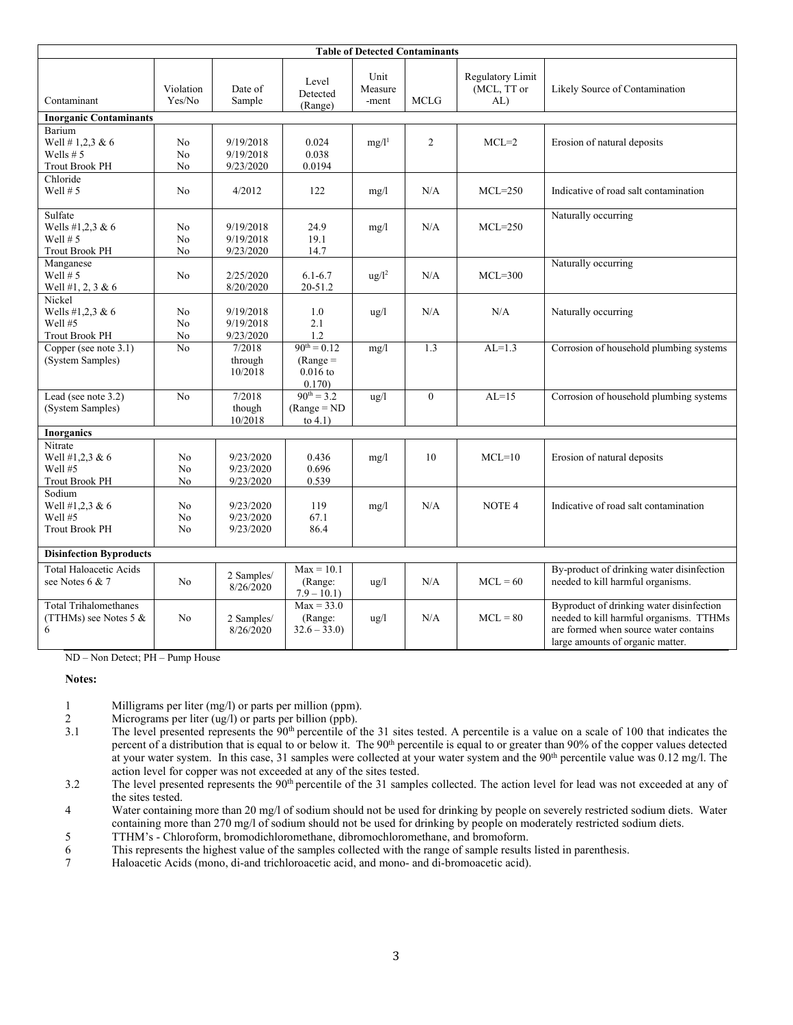| <b>Table of Detected Contaminants</b>                              |                            |                                     |                                                       |                          |                |                                       |                                                                                                                                                                  |  |  |  |
|--------------------------------------------------------------------|----------------------------|-------------------------------------|-------------------------------------------------------|--------------------------|----------------|---------------------------------------|------------------------------------------------------------------------------------------------------------------------------------------------------------------|--|--|--|
| Contaminant                                                        | Violation<br>Yes/No        | Date of<br>Sample                   | Level<br>Detected<br>(Range)                          | Unit<br>Measure<br>-ment | <b>MCLG</b>    | Regulatory Limit<br>(MCL, TT or<br>AL | Likely Source of Contamination                                                                                                                                   |  |  |  |
| <b>Inorganic Contaminants</b>                                      |                            |                                     |                                                       |                          |                |                                       |                                                                                                                                                                  |  |  |  |
| Barium<br>Well # 1,2,3 & 6<br>Wells $# 5$<br><b>Trout Brook PH</b> | N <sub>o</sub><br>No<br>No | 9/19/2018<br>9/19/2018<br>9/23/2020 | 0.024<br>0.038<br>0.0194                              | $mg/l^1$                 | $\overline{2}$ | $MCL=2$                               | Erosion of natural deposits                                                                                                                                      |  |  |  |
| Chloride<br>Well $# 5$                                             | No                         | 4/2012                              | 122                                                   | mg/1                     | N/A            | $MCL = 250$                           | Indicative of road salt contamination                                                                                                                            |  |  |  |
| Sulfate<br>Wells #1,2,3 & 6<br>Well $# 5$<br><b>Trout Brook PH</b> | No<br>No<br>No             | 9/19/2018<br>9/19/2018<br>9/23/2020 | 24.9<br>19.1<br>14.7                                  | mg/1                     | N/A            | $MCL=250$                             | Naturally occurring                                                                                                                                              |  |  |  |
| Manganese<br>Well $# 5$<br>Well #1, 2, 3 & 6                       | N <sub>o</sub>             | 2/25/2020<br>8/20/2020              | $6.1 - 6.7$<br>20-51.2                                | $\frac{u g}{l^2}$        | N/A            | $MCL=300$                             | Naturally occurring                                                                                                                                              |  |  |  |
| Nickel<br>Wells #1,2,3 & $6$<br>Well #5<br><b>Trout Brook PH</b>   | N <sub>o</sub><br>No<br>No | 9/19/2018<br>9/19/2018<br>9/23/2020 | 1.0<br>2.1<br>1.2                                     | $\frac{1}{2}$            | N/A            | N/A                                   | Naturally occurring                                                                                                                                              |  |  |  |
| Copper (see note $3.1$ )<br>(System Samples)                       | No                         | 7/2018<br>through<br>10/2018        | $90^{th} = 0.12$<br>$(Range =$<br>$0.016$ to<br>0.170 | mg/1                     | 1.3            | $AL=1.3$                              | Corrosion of household plumbing systems                                                                                                                          |  |  |  |
| Lead (see note 3.2)<br>(System Samples)                            | No                         | 7/2018<br>though<br>10/2018         | $90^{th} = 3.2$<br>$(Range = ND)$<br>to $4.1$ )       | $u\alpha/1$              | $\overline{0}$ | $AL=15$                               | Corrosion of household plumbing systems                                                                                                                          |  |  |  |
| <b>Inorganics</b>                                                  |                            |                                     |                                                       |                          |                |                                       |                                                                                                                                                                  |  |  |  |
| Nitrate<br>Well #1,2,3 & 6<br>Well #5<br><b>Trout Brook PH</b>     | No<br>N <sub>o</sub><br>No | 9/23/2020<br>9/23/2020<br>9/23/2020 | 0.436<br>0.696<br>0.539                               | mg/1                     | 10             | $MCL=10$                              | Erosion of natural deposits                                                                                                                                      |  |  |  |
| Sodium<br>Well #1,2,3 & 6<br>Well #5<br><b>Trout Brook PH</b>      | No<br>No<br>No             | 9/23/2020<br>9/23/2020<br>9/23/2020 | 119<br>67.1<br>86.4                                   | mg/1                     | N/A            | NOTE <sub>4</sub>                     | Indicative of road salt contamination                                                                                                                            |  |  |  |
| <b>Disinfection Byproducts</b>                                     |                            |                                     |                                                       |                          |                |                                       |                                                                                                                                                                  |  |  |  |
| <b>Total Haloacetic Acids</b><br>see Notes 6 & 7                   | No                         | 2 Samples/<br>8/26/2020             | $Max = 10.1$<br>(Range:<br>$7.9 - 10.1$               | ug/l                     | N/A            | $MCL = 60$                            | By-product of drinking water disinfection<br>needed to kill harmful organisms.                                                                                   |  |  |  |
| <b>Total Trihalomethanes</b><br>(TTHMs) see Notes 5 $&$<br>6       | No                         | 2 Samples/<br>8/26/2020             | $Max = 33.0$<br>(Range:<br>$32.6 - 33.0$              | $\frac{u g}{l}$          | N/A            | $MCL = 80$                            | Byproduct of drinking water disinfection<br>needed to kill harmful organisms. TTHMs<br>are formed when source water contains<br>large amounts of organic matter. |  |  |  |

ND – Non Detect; PH – Pump House

#### **Notes:**

- 1 Milligrams per liter (mg/l) or parts per million (ppm).<br>2 Micrograms per liter (ug/l) or parts per billion (ppb).
- 2 Micrograms per liter (ug/l) or parts per billion (ppb).<br>3.1 The level presented represents the  $90^{\text{th}}$  percentile of
- The level presented represents the 90<sup>th</sup> percentile of the 31 sites tested. A percentile is a value on a scale of 100 that indicates the percent of a distribution that is equal to or below it. The 90<sup>th</sup> percentile is equal to or greater than 90% of the copper values detected at your water system. In this case, 31 samples were collected at your water system and the  $90<sup>th</sup>$  percentile value was 0.12 mg/l. The action level for copper was not exceeded at any of the sites tested.
- 3.2 The level presented represents the 90<sup>th</sup> percentile of the 31 samples collected. The action level for lead was not exceeded at any of the sites tested.
- 4 Water containing more than 20 mg/l of sodium should not be used for drinking by people on severely restricted sodium diets. Water containing more than 270 mg/l of sodium should not be used for drinking by people on moderately restricted sodium diets.
- 5 TTHM's Chloroform, bromodichloromethane, dibromochloromethane, and bromoform.
- 6 This represents the highest value of the samples collected with the range of sample results listed in parenthesis.
- 7 Haloacetic Acids (mono, di-and trichloroacetic acid, and mono- and di-bromoacetic acid).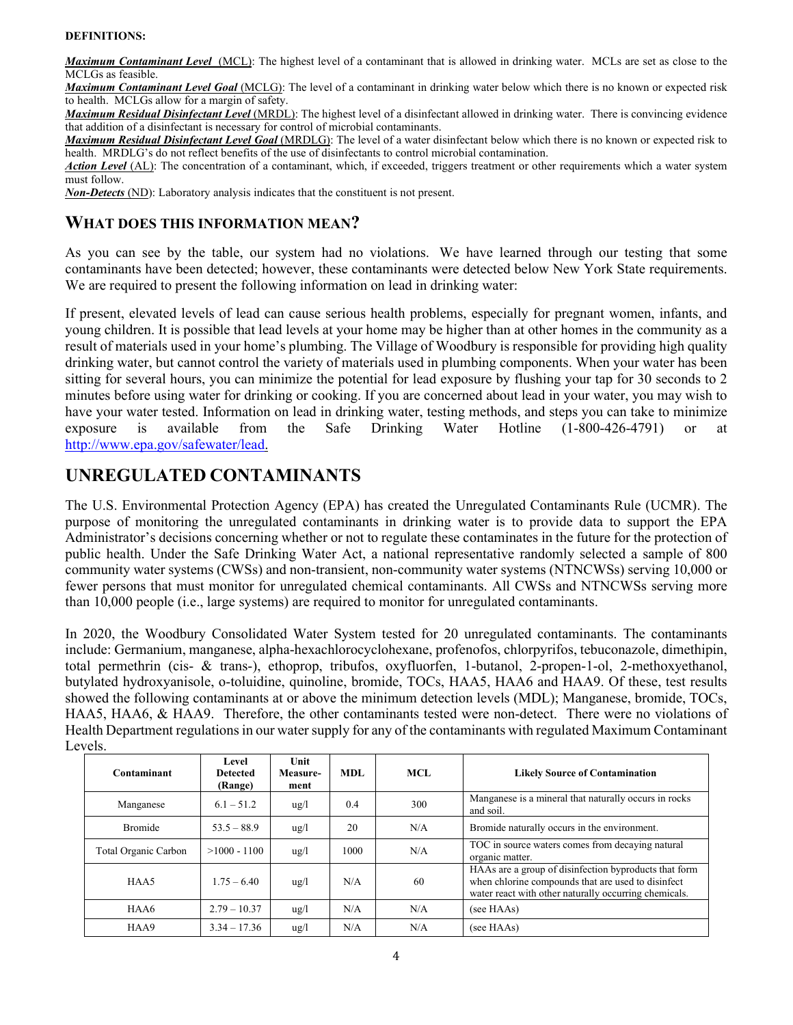#### **DEFINITIONS:**

*Maximum Contaminant Level*(MCL): The highest level of a contaminant that is allowed in drinking water. MCLs are set as close to the MCLGs as feasible.

*Maximum Contaminant Level Goal* (MCLG): The level of a contaminant in drinking water below which there is no known or expected risk to health. MCLGs allow for a margin of safety.

*Maximum Residual Disinfectant Level* (MRDL): The highest level of a disinfectant allowed in drinking water. There is convincing evidence that addition of a disinfectant is necessary for control of microbial contaminants.

*Maximum Residual Disinfectant Level Goal* (MRDLG): The level of a water disinfectant below which there is no known or expected risk to health. MRDLG's do not reflect benefits of the use of disinfectants to control microbial contamination.

*Action Level* (AL): The concentration of a contaminant, which, if exceeded, triggers treatment or other requirements which a water system must follow.

*Non-Detects* (ND): Laboratory analysis indicates that the constituent is not present.

### **WHAT DOES THIS INFORMATION MEAN?**

As you can see by the table, our system had no violations. We have learned through our testing that some contaminants have been detected; however, these contaminants were detected below New York State requirements. We are required to present the following information on lead in drinking water:

If present, elevated levels of lead can cause serious health problems, especially for pregnant women, infants, and young children. It is possible that lead levels at your home may be higher than at other homes in the community as a result of materials used in your home's plumbing. The Village of Woodbury is responsible for providing high quality drinking water, but cannot control the variety of materials used in plumbing components. When your water has been sitting for several hours, you can minimize the potential for lead exposure by flushing your tap for 30 seconds to 2 minutes before using water for drinking or cooking. If you are concerned about lead in your water, you may wish to have your water tested. Information on lead in drinking water, testing methods, and steps you can take to minimize exposure is available from the Safe Drinking Water Hotline (1-800-426-4791) or at http://www.epa.gov/safewater/lead.

# **UNREGULATED CONTAMINANTS**

The U.S. Environmental Protection Agency (EPA) has created the Unregulated Contaminants Rule (UCMR). The purpose of monitoring the unregulated contaminants in drinking water is to provide data to support the EPA Administrator's decisions concerning whether or not to regulate these contaminates in the future for the protection of public health. Under the Safe Drinking Water Act, a national representative randomly selected a sample of 800 community water systems (CWSs) and non-transient, non-community water systems (NTNCWSs) serving 10,000 or fewer persons that must monitor for unregulated chemical contaminants. All CWSs and NTNCWSs serving more than 10,000 people (i.e., large systems) are required to monitor for unregulated contaminants.

In 2020, the Woodbury Consolidated Water System tested for 20 unregulated contaminants. The contaminants include: Germanium, manganese, alpha-hexachlorocyclohexane, profenofos, chlorpyrifos, tebuconazole, dimethipin, total permethrin (cis- & trans-), ethoprop, tribufos, oxyfluorfen, 1-butanol, 2-propen-1-ol, 2-methoxyethanol, butylated hydroxyanisole, o-toluidine, quinoline, bromide, TOCs, HAA5, HAA6 and HAA9. Of these, test results showed the following contaminants at or above the minimum detection levels (MDL); Manganese, bromide, TOCs, HAA5, HAA6, & HAA9. Therefore, the other contaminants tested were non-detect. There were no violations of Health Department regulations in our water supply for any of the contaminants with regulated Maximum Contaminant Levels.

| Contaminant          | Level<br><b>Detected</b><br>(Range) | Unit<br>Measure-<br>ment | MDL  | MCL. | <b>Likely Source of Contamination</b>                                                                                                                                |
|----------------------|-------------------------------------|--------------------------|------|------|----------------------------------------------------------------------------------------------------------------------------------------------------------------------|
| Manganese            | $6.1 - 51.2$                        | $\frac{u}{g}$            | 0.4  | 300  | Manganese is a mineral that naturally occurs in rocks<br>and soil.                                                                                                   |
| <b>Bromide</b>       | $53.5 - 88.9$                       | $\frac{u g}{l}$          | 20   | N/A  | Bromide naturally occurs in the environment.                                                                                                                         |
| Total Organic Carbon | $>1000 - 1100$                      | $\frac{u g}{l}$          | 1000 | N/A  | TOC in source waters comes from decaying natural<br>organic matter.                                                                                                  |
| HAA5                 | $1.75 - 6.40$                       | $\frac{u g}{l}$          | N/A  | 60   | HAAs are a group of disinfection byproducts that form<br>when chlorine compounds that are used to disinfect<br>water react with other naturally occurring chemicals. |
| HAA6                 | $2.79 - 10.37$                      | $\frac{u}{g}$            | N/A  | N/A  | (see HAAs)                                                                                                                                                           |
| HAA9                 | $3.34 - 17.36$                      | $\frac{u}{g}$            | N/A  | N/A  | (see HAAs)                                                                                                                                                           |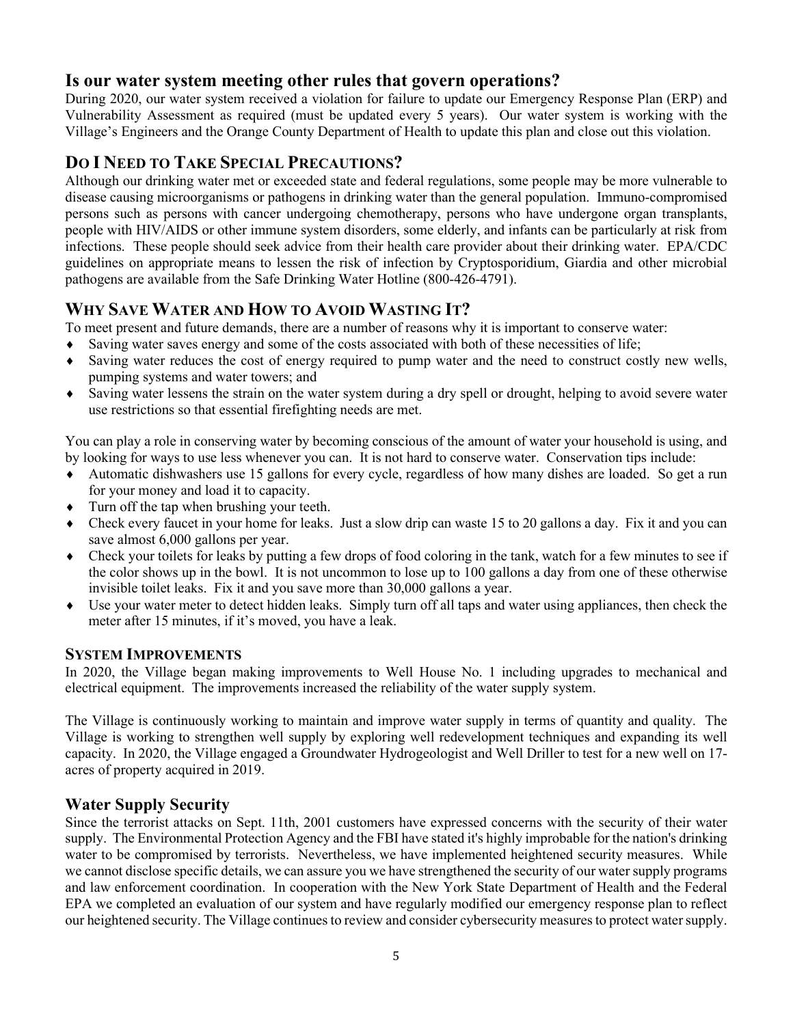# **Is our water system meeting other rules that govern operations?**

During 2020, our water system received a violation for failure to update our Emergency Response Plan (ERP) and Vulnerability Assessment as required (must be updated every 5 years). Our water system is working with the Village's Engineers and the Orange County Department of Health to update this plan and close out this violation.

# **DO I NEED TO TAKE SPECIAL PRECAUTIONS?**

Although our drinking water met or exceeded state and federal regulations, some people may be more vulnerable to disease causing microorganisms or pathogens in drinking water than the general population. Immuno-compromised persons such as persons with cancer undergoing chemotherapy, persons who have undergone organ transplants, people with HIV/AIDS or other immune system disorders, some elderly, and infants can be particularly at risk from infections. These people should seek advice from their health care provider about their drinking water. EPA/CDC guidelines on appropriate means to lessen the risk of infection by Cryptosporidium, Giardia and other microbial pathogens are available from the Safe Drinking Water Hotline (800-426-4791).

# **WHY SAVE WATER AND HOW TO AVOID WASTING IT?**

To meet present and future demands, there are a number of reasons why it is important to conserve water:

- ♦ Saving water saves energy and some of the costs associated with both of these necessities of life;
- ♦ Saving water reduces the cost of energy required to pump water and the need to construct costly new wells, pumping systems and water towers; and
- ♦ Saving water lessens the strain on the water system during a dry spell or drought, helping to avoid severe water use restrictions so that essential firefighting needs are met.

You can play a role in conserving water by becoming conscious of the amount of water your household is using, and by looking for ways to use less whenever you can. It is not hard to conserve water. Conservation tips include:

- ♦ Automatic dishwashers use 15 gallons for every cycle, regardless of how many dishes are loaded. So get a run for your money and load it to capacity.
- ♦ Turn off the tap when brushing your teeth.
- Check every faucet in your home for leaks. Just a slow drip can waste 15 to 20 gallons a day. Fix it and you can save almost 6,000 gallons per year.
- ♦ Check your toilets for leaks by putting a few drops of food coloring in the tank, watch for a few minutes to see if the color shows up in the bowl. It is not uncommon to lose up to 100 gallons a day from one of these otherwise invisible toilet leaks. Fix it and you save more than 30,000 gallons a year.
- ♦ Use your water meter to detect hidden leaks. Simply turn off all taps and water using appliances, then check the meter after 15 minutes, if it's moved, you have a leak.

### **SYSTEM IMPROVEMENTS**

In 2020, the Village began making improvements to Well House No. 1 including upgrades to mechanical and electrical equipment. The improvements increased the reliability of the water supply system.

The Village is continuously working to maintain and improve water supply in terms of quantity and quality. The Village is working to strengthen well supply by exploring well redevelopment techniques and expanding its well capacity. In 2020, the Village engaged a Groundwater Hydrogeologist and Well Driller to test for a new well on 17 acres of property acquired in 2019.

### **Water Supply Security**

Since the terrorist attacks on Sept. 11th, 2001 customers have expressed concerns with the security of their water supply. The Environmental Protection Agency and the FBI have stated it's highly improbable for the nation's drinking water to be compromised by terrorists. Nevertheless, we have implemented heightened security measures. While we cannot disclose specific details, we can assure you we have strengthened the security of our water supply programs and law enforcement coordination. In cooperation with the New York State Department of Health and the Federal EPA we completed an evaluation of our system and have regularly modified our emergency response plan to reflect our heightened security. The Village continues to review and consider cybersecurity measures to protect water supply.